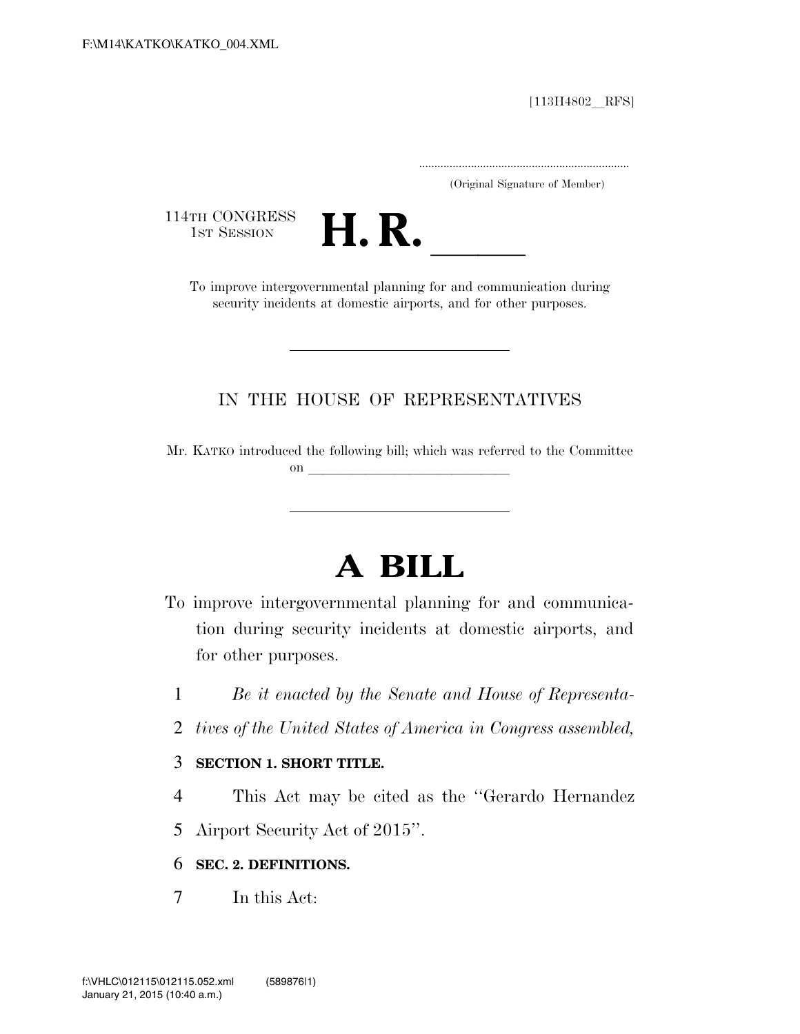$[113H4802$  RFS]

.....................................................................

(Original Signature of Member)

114TH CONGRESS<br>1st Session



TH CONGRESS<br>1st SESSION **H. R.** <u>Independence intergovernmental</u> planning for and communication during security incidents at domestic airports, and for other purposes.

### IN THE HOUSE OF REPRESENTATIVES

Mr. KATKO introduced the following bill; which was referred to the Committee on llet us a set of the set of the set of the set of the set of the set of the set of the set of the set of the set of the set of the set of the set of the set of the set of the set of the set of the set of the set of the

# **A BILL**

- To improve intergovernmental planning for and communication during security incidents at domestic airports, and for other purposes.
	- 1 *Be it enacted by the Senate and House of Representa-*
	- 2 *tives of the United States of America in Congress assembled,*

### 3 **SECTION 1. SHORT TITLE.**

- 4 This Act may be cited as the ''Gerardo Hernandez
- 5 Airport Security Act of 2015''.

### 6 **SEC. 2. DEFINITIONS.**

7 In this Act: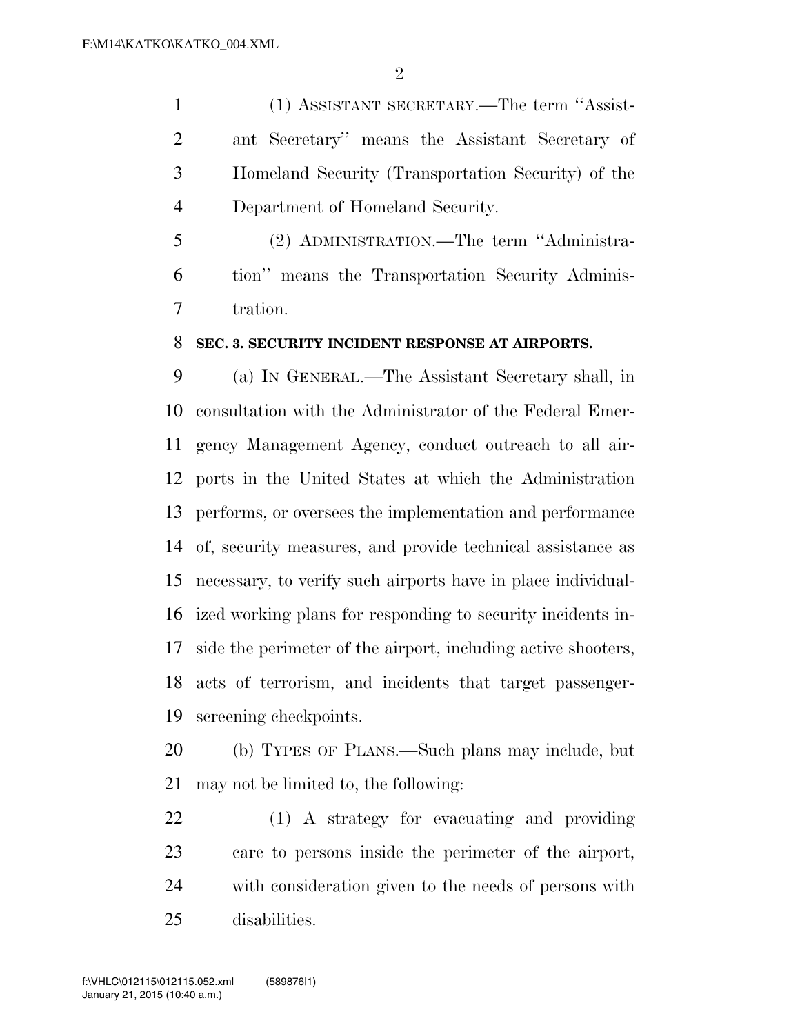(1) ASSISTANT SECRETARY.—The term ''Assist- ant Secretary'' means the Assistant Secretary of Homeland Security (Transportation Security) of the Department of Homeland Security.

 (2) ADMINISTRATION.—The term ''Administra- tion'' means the Transportation Security Adminis-tration.

#### **SEC. 3. SECURITY INCIDENT RESPONSE AT AIRPORTS.**

 (a) IN GENERAL.—The Assistant Secretary shall, in consultation with the Administrator of the Federal Emer- gency Management Agency, conduct outreach to all air- ports in the United States at which the Administration performs, or oversees the implementation and performance of, security measures, and provide technical assistance as necessary, to verify such airports have in place individual- ized working plans for responding to security incidents in- side the perimeter of the airport, including active shooters, acts of terrorism, and incidents that target passenger-screening checkpoints.

 (b) TYPES OF PLANS.—Such plans may include, but may not be limited to, the following:

 (1) A strategy for evacuating and providing care to persons inside the perimeter of the airport, with consideration given to the needs of persons with disabilities.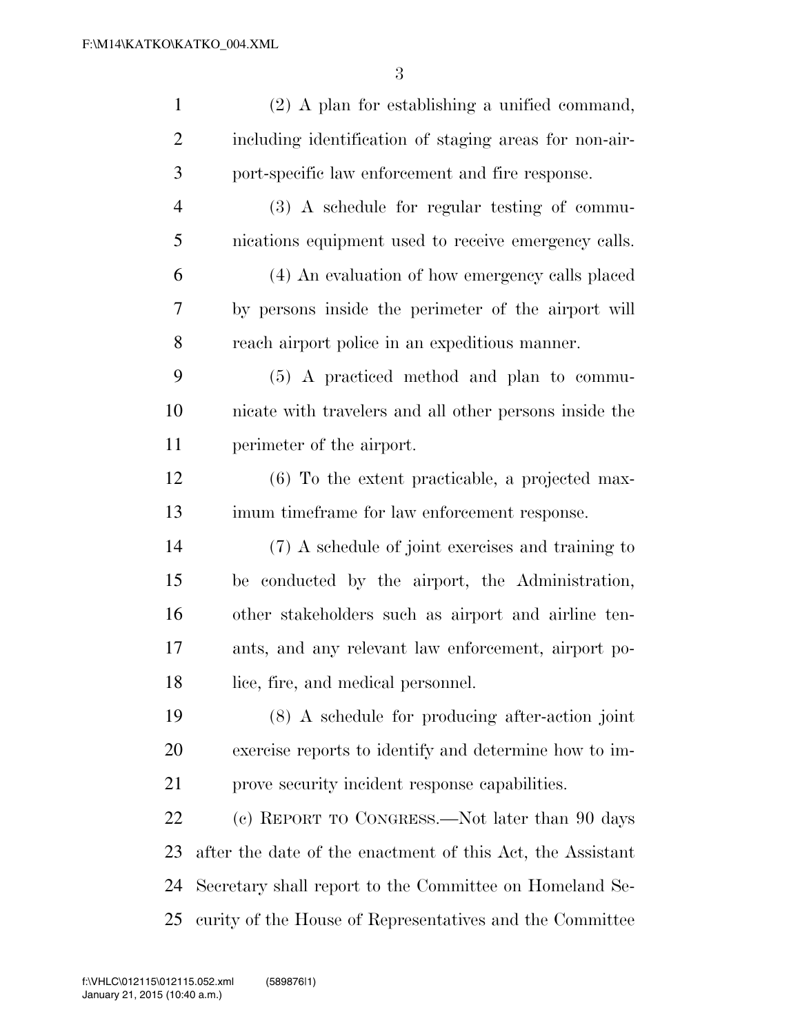| $\mathbf{1}$   | $(2)$ A plan for establishing a unified command,           |
|----------------|------------------------------------------------------------|
| $\overline{2}$ | including identification of staging areas for non-air-     |
| 3              | port-specific law enforcement and fire response.           |
| $\overline{4}$ | $(3)$ A schedule for regular testing of commu-             |
| 5              | nications equipment used to receive emergency calls.       |
| 6              | (4) An evaluation of how emergency calls placed            |
| 7              | by persons inside the perimeter of the airport will        |
| 8              | reach airport police in an expeditious manner.             |
| 9              | (5) A practiced method and plan to commu-                  |
| 10             | nicate with travelers and all other persons inside the     |
| 11             | perimeter of the airport.                                  |
| 12             | $(6)$ To the extent practicable, a projected max-          |
| 13             | imum timeframe for law enforcement response.               |
| 14             | (7) A schedule of joint exercises and training to          |
| 15             | be conducted by the airport, the Administration,           |
| 16             | other stakeholders such as airport and airline ten-        |
| 17             | ants, and any relevant law enforcement, airport po-        |
| 18             | lice, fire, and medical personnel.                         |
| 19             | (8) A schedule for producing after-action joint            |
| 20             | exercise reports to identify and determine how to im-      |
| 21             | prove security incident response capabilities.             |
| 22             | (c) REPORT TO CONGRESS.—Not later than 90 days             |
| 23             | after the date of the enactment of this Act, the Assistant |
| 24             | Secretary shall report to the Committee on Homeland Se-    |
| 25             | curity of the House of Representatives and the Committee   |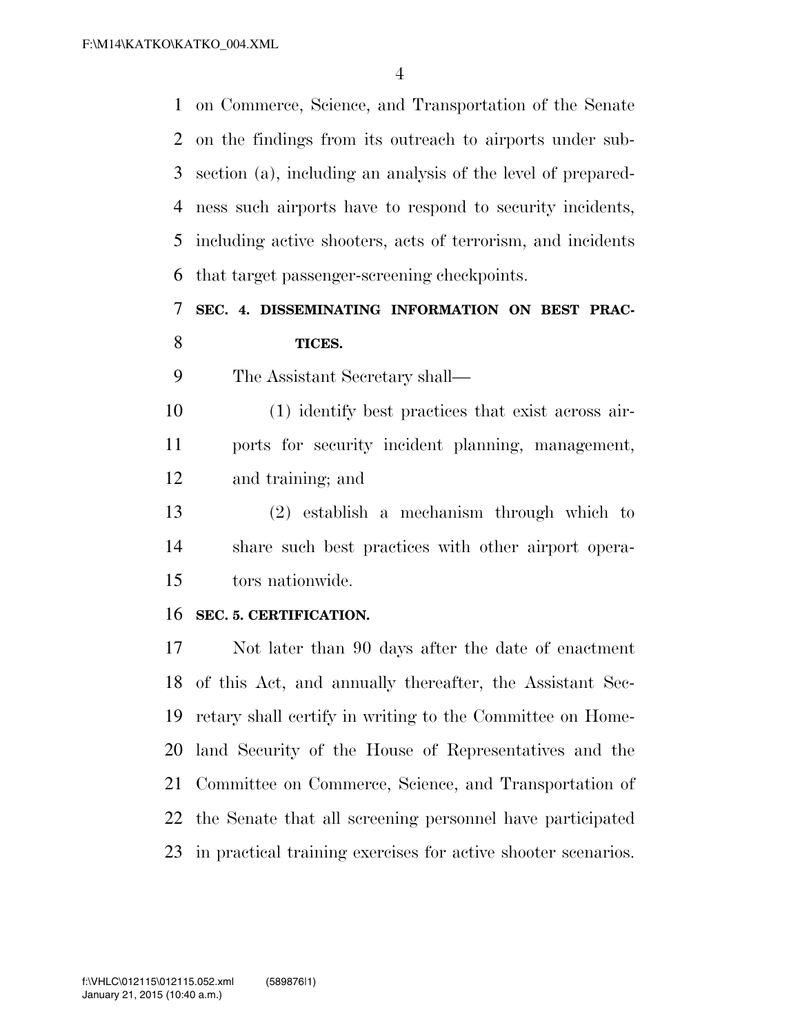on Commerce, Science, and Transportation of the Senate on the findings from its outreach to airports under sub- section (a), including an analysis of the level of prepared- ness such airports have to respond to security incidents, including active shooters, acts of terrorism, and incidents that target passenger-screening checkpoints.

### **SEC. 4. DISSEMINATING INFORMATION ON BEST PRAC-TICES.**

The Assistant Secretary shall—

 (1) identify best practices that exist across air- ports for security incident planning, management, and training; and

 (2) establish a mechanism through which to share such best practices with other airport opera-tors nationwide.

### **SEC. 5. CERTIFICATION.**

 Not later than 90 days after the date of enactment of this Act, and annually thereafter, the Assistant Sec- retary shall certify in writing to the Committee on Home- land Security of the House of Representatives and the Committee on Commerce, Science, and Transportation of the Senate that all screening personnel have participated in practical training exercises for active shooter scenarios.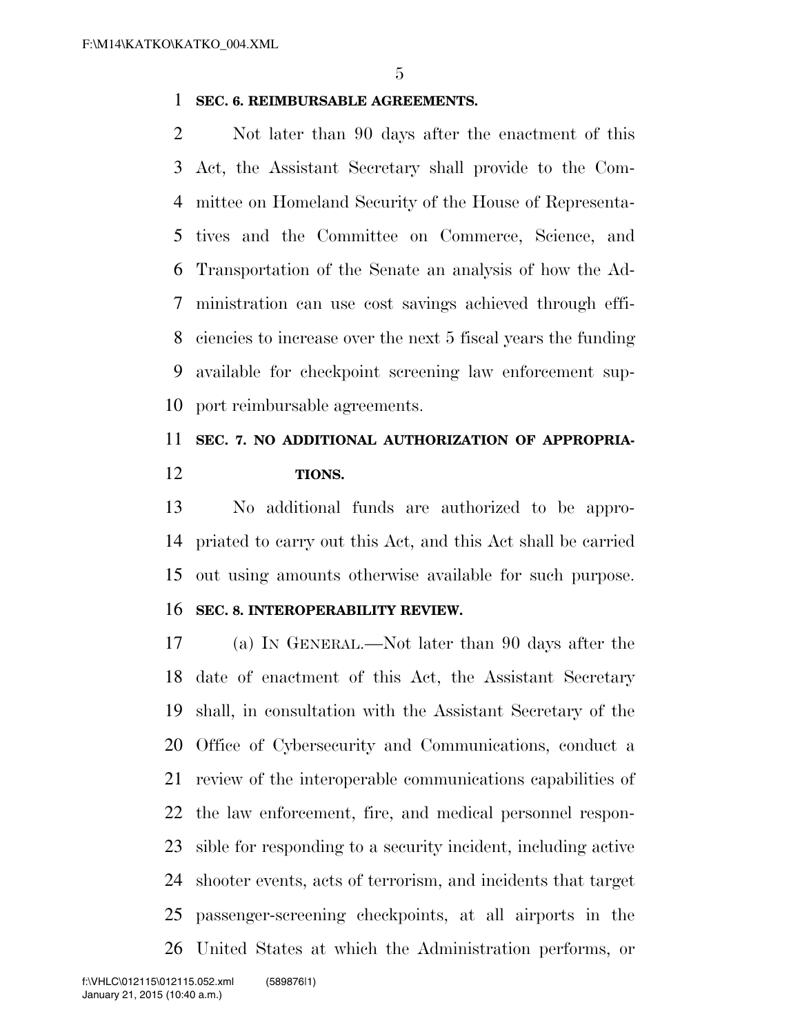### **SEC. 6. REIMBURSABLE AGREEMENTS.**

 Not later than 90 days after the enactment of this Act, the Assistant Secretary shall provide to the Com- mittee on Homeland Security of the House of Representa- tives and the Committee on Commerce, Science, and Transportation of the Senate an analysis of how the Ad- ministration can use cost savings achieved through effi- ciencies to increase over the next 5 fiscal years the funding available for checkpoint screening law enforcement sup-port reimbursable agreements.

## **SEC. 7. NO ADDITIONAL AUTHORIZATION OF APPROPRIA-TIONS.**

 No additional funds are authorized to be appro- priated to carry out this Act, and this Act shall be carried out using amounts otherwise available for such purpose.

#### **SEC. 8. INTEROPERABILITY REVIEW.**

 (a) IN GENERAL.—Not later than 90 days after the date of enactment of this Act, the Assistant Secretary shall, in consultation with the Assistant Secretary of the Office of Cybersecurity and Communications, conduct a review of the interoperable communications capabilities of the law enforcement, fire, and medical personnel respon- sible for responding to a security incident, including active shooter events, acts of terrorism, and incidents that target passenger-screening checkpoints, at all airports in the United States at which the Administration performs, or